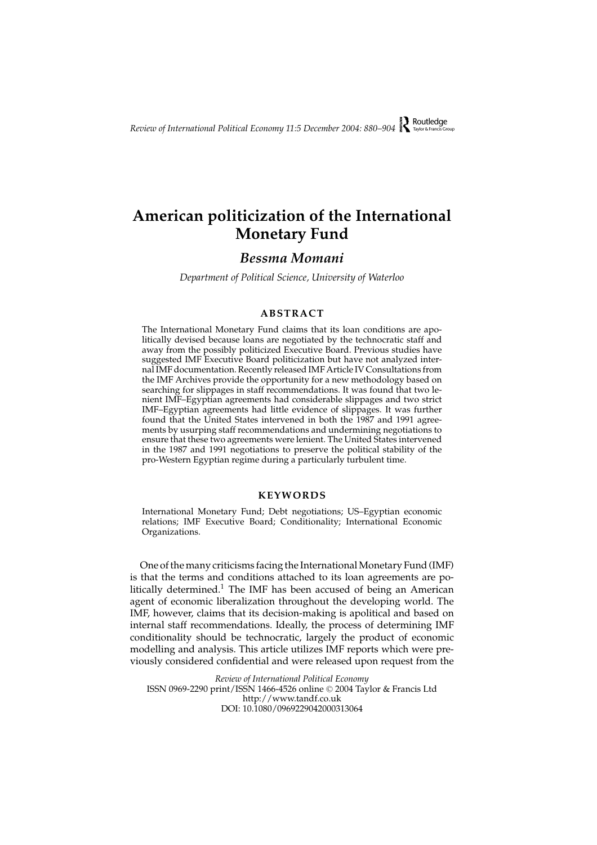# **American politicization of the International Monetary Fund**

## *Bessma Momani*

*Department of Political Science, University of Waterloo*

## **ABSTRACT**

The International Monetary Fund claims that its loan conditions are apolitically devised because loans are negotiated by the technocratic staff and away from the possibly politicized Executive Board. Previous studies have suggested IMF Executive Board politicization but have not analyzed internal IMF documentation. Recently released IMF Article IV Consultations from the IMF Archives provide the opportunity for a new methodology based on searching for slippages in staff recommendations. It was found that two lenient IMF–Egyptian agreements had considerable slippages and two strict IMF–Egyptian agreements had little evidence of slippages. It was further found that the United States intervened in both the 1987 and 1991 agreements by usurping staff recommendations and undermining negotiations to ensure that these two agreements were lenient. The United States intervened in the 1987 and 1991 negotiations to preserve the political stability of the pro-Western Egyptian regime during a particularly turbulent time.

#### **KEYWORDS**

International Monetary Fund; Debt negotiations; US–Egyptian economic relations; IMF Executive Board; Conditionality; International Economic Organizations.

One of the many criticisms facing the International Monetary Fund (IMF) is that the terms and conditions attached to its loan agreements are politically determined.<sup>1</sup> The IMF has been accused of being an American agent of economic liberalization throughout the developing world. The IMF, however, claims that its decision-making is apolitical and based on internal staff recommendations. Ideally, the process of determining IMF conditionality should be technocratic, largely the product of economic modelling and analysis. This article utilizes IMF reports which were previously considered confidential and were released upon request from the

*Review of International Political Economy* ISSN 0969-2290 print/ISSN 1466-4526 online © 2004 Taylor & Francis Ltd http://www.tandf.co.uk DOI: 10.1080/0969229042000313064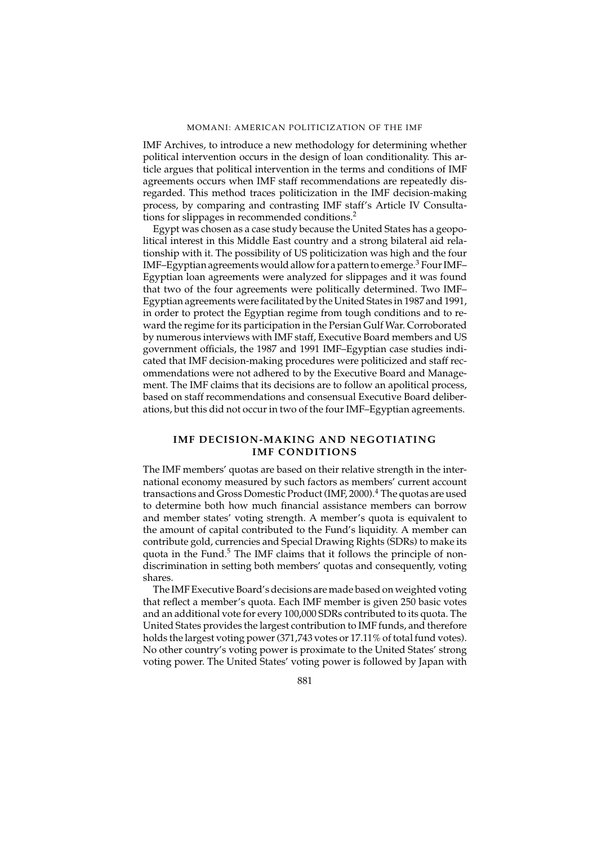IMF Archives, to introduce a new methodology for determining whether political intervention occurs in the design of loan conditionality. This article argues that political intervention in the terms and conditions of IMF agreements occurs when IMF staff recommendations are repeatedly disregarded. This method traces politicization in the IMF decision-making process, by comparing and contrasting IMF staff's Article IV Consultations for slippages in recommended conditions.<sup>2</sup>

Egypt was chosen as a case study because the United States has a geopolitical interest in this Middle East country and a strong bilateral aid relationship with it. The possibility of US politicization was high and the four IMF–Egyptian agreements would allow for a pattern to emerge.<sup>3</sup> Four IMF– Egyptian loan agreements were analyzed for slippages and it was found that two of the four agreements were politically determined. Two IMF– Egyptian agreements were facilitated by the United States in 1987 and 1991, in order to protect the Egyptian regime from tough conditions and to reward the regime for its participation in the Persian Gulf War. Corroborated by numerous interviews with IMF staff, Executive Board members and US government officials, the 1987 and 1991 IMF–Egyptian case studies indicated that IMF decision-making procedures were politicized and staff recommendations were not adhered to by the Executive Board and Management. The IMF claims that its decisions are to follow an apolitical process, based on staff recommendations and consensual Executive Board deliberations, but this did not occur in two of the four IMF–Egyptian agreements.

## **IMF DECISION-MAKING AND NEGOTIATING IMF CONDITIONS**

The IMF members' quotas are based on their relative strength in the international economy measured by such factors as members' current account transactions and Gross Domestic Product (IMF, 2000).<sup>4</sup> The quotas are used to determine both how much financial assistance members can borrow and member states' voting strength. A member's quota is equivalent to the amount of capital contributed to the Fund's liquidity. A member can contribute gold, currencies and Special Drawing Rights (SDRs) to make its quota in the Fund. $5$  The IMF claims that it follows the principle of nondiscrimination in setting both members' quotas and consequently, voting shares.

The IMF Executive Board's decisions are made based on weighted voting that reflect a member's quota. Each IMF member is given 250 basic votes and an additional vote for every 100,000 SDRs contributed to its quota. The United States provides the largest contribution to IMF funds, and therefore holds the largest voting power (371,743 votes or 17.11% of total fund votes). No other country's voting power is proximate to the United States' strong voting power. The United States' voting power is followed by Japan with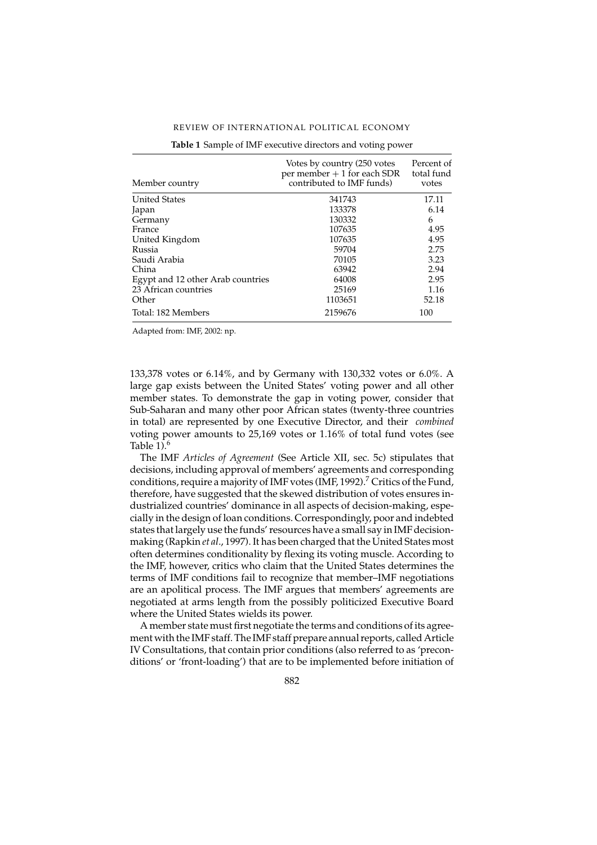|--|

|  |  |  |  | Table 1 Sample of IMF executive directors and voting power |  |  |  |  |
|--|--|--|--|------------------------------------------------------------|--|--|--|--|
|--|--|--|--|------------------------------------------------------------|--|--|--|--|

| Member country                    | Votes by country (250 votes<br>per member $+1$ for each SDR<br>contributed to IMF funds) | Percent of<br>total fund<br>votes |  |
|-----------------------------------|------------------------------------------------------------------------------------------|-----------------------------------|--|
| <b>United States</b>              | 341743                                                                                   | 17.11                             |  |
| Japan                             | 133378                                                                                   | 6.14                              |  |
| Germany                           | 130332                                                                                   | 6                                 |  |
| France                            | 107635                                                                                   | 4.95                              |  |
| United Kingdom                    | 107635                                                                                   | 4.95                              |  |
| Russia                            | 59704                                                                                    | 2.75                              |  |
| Saudi Arabia                      | 70105                                                                                    | 3.23                              |  |
| China                             | 63942                                                                                    | 2.94                              |  |
| Egypt and 12 other Arab countries | 64008                                                                                    | 2.95                              |  |
| 23 African countries              | 25169                                                                                    | 1.16                              |  |
| Other                             | 1103651                                                                                  | 52.18                             |  |
| Total: 182 Members                | 2159676                                                                                  | 100                               |  |

Adapted from: IMF, 2002: np.

133,378 votes or 6.14%, and by Germany with 130,332 votes or 6.0%. A large gap exists between the United States' voting power and all other member states. To demonstrate the gap in voting power, consider that Sub-Saharan and many other poor African states (twenty-three countries in total) are represented by one Executive Director, and their *combined* voting power amounts to 25,169 votes or 1.16% of total fund votes (see Table  $1$ ). $6$ 

The IMF *Articles of Agreement* (See Article XII, sec. 5c) stipulates that decisions, including approval of members' agreements and corresponding conditions, require a majority of IMF votes (IMF, 1992).<sup>7</sup> Critics of the Fund, therefore, have suggested that the skewed distribution of votes ensures industrialized countries' dominance in all aspects of decision-making, especially in the design of loan conditions. Correspondingly, poor and indebted states that largely use the funds' resources have a small say in IMF decisionmaking (Rapkin *et al*., 1997). It has been charged that the United States most often determines conditionality by flexing its voting muscle. According to the IMF, however, critics who claim that the United States determines the terms of IMF conditions fail to recognize that member–IMF negotiations are an apolitical process. The IMF argues that members' agreements are negotiated at arms length from the possibly politicized Executive Board where the United States wields its power.

A member state must first negotiate the terms and conditions of its agreement with the IMF staff. The IMF staff prepare annual reports, called Article IV Consultations, that contain prior conditions (also referred to as 'preconditions' or 'front-loading') that are to be implemented before initiation of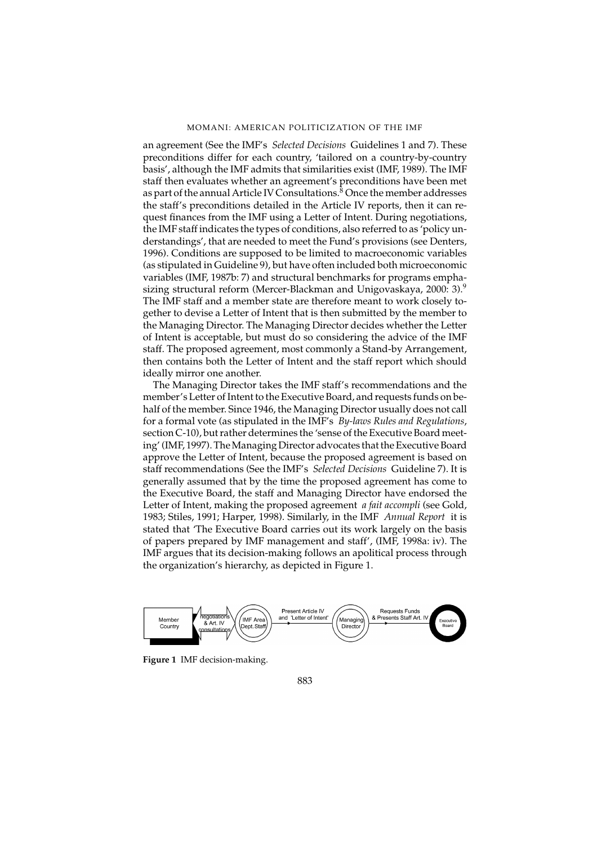an agreement (See the IMF's *Selected Decisions* Guidelines 1 and 7). These preconditions differ for each country, 'tailored on a country-by-country basis', although the IMF admits that similarities exist (IMF, 1989). The IMF staff then evaluates whether an agreement's preconditions have been met as part of the annual Article IV Consultations.<sup>8</sup> Once the member addresses the staff's preconditions detailed in the Article IV reports, then it can request finances from the IMF using a Letter of Intent. During negotiations, the IMF staff indicates the types of conditions, also referred to as 'policy understandings', that are needed to meet the Fund's provisions (see Denters, 1996). Conditions are supposed to be limited to macroeconomic variables (as stipulated in Guideline 9), but have often included both microeconomic variables (IMF, 1987b: 7) and structural benchmarks for programs emphasizing structural reform (Mercer-Blackman and Unigovaskaya, 2000: 3).<sup>9</sup> The IMF staff and a member state are therefore meant to work closely together to devise a Letter of Intent that is then submitted by the member to the Managing Director. The Managing Director decides whether the Letter of Intent is acceptable, but must do so considering the advice of the IMF staff. The proposed agreement, most commonly a Stand-by Arrangement, then contains both the Letter of Intent and the staff report which should ideally mirror one another.

The Managing Director takes the IMF staff's recommendations and the member's Letter of Intent to the Executive Board, and requests funds on behalf of the member. Since 1946, the Managing Director usually does not call for a formal vote (as stipulated in the IMF's *By-laws Rules and Regulations*, section C-10), but rather determines the 'sense of the Executive Board meeting' (IMF, 1997). The Managing Director advocates that the Executive Board approve the Letter of Intent, because the proposed agreement is based on staff recommendations (See the IMF's *Selected Decisions* Guideline 7). It is generally assumed that by the time the proposed agreement has come to the Executive Board, the staff and Managing Director have endorsed the Letter of Intent, making the proposed agreement *a fait accompli* (see Gold, 1983; Stiles, 1991; Harper, 1998). Similarly, in the IMF *Annual Report* it is stated that 'The Executive Board carries out its work largely on the basis of papers prepared by IMF management and staff', (IMF, 1998a: iv). The IMF argues that its decision-making follows an apolitical process through the organization's hierarchy, as depicted in Figure 1.



**Figure 1** IMF decision-making.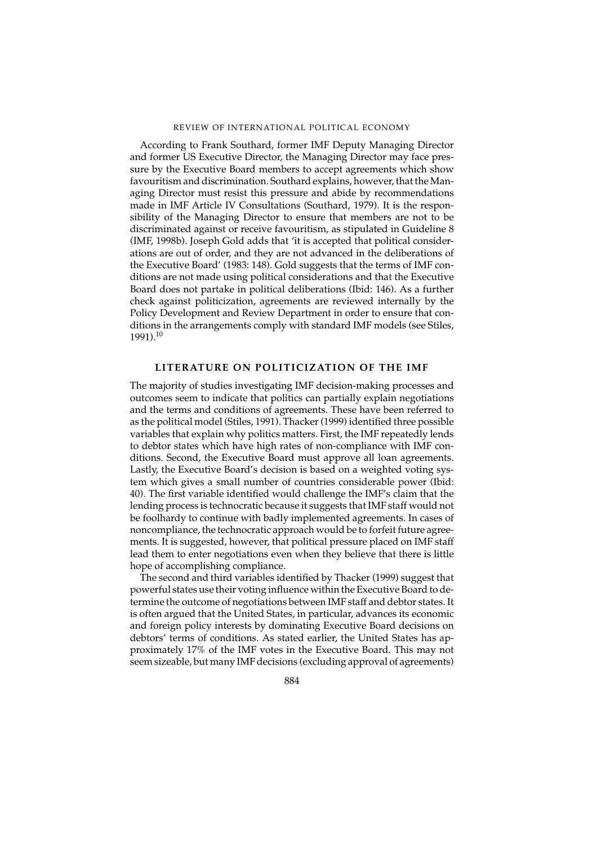According to Frank Southard, former IMF Deputy Managing Director and former US Executive Director, the Managing Director may face pressure by the Executive Board members to accept agreements which show favouritism and discrimination. Southard explains, however, that the Managing Director must resist this pressure and abide by recommendations made in IMF Article IV Consultations (Southard, 1979). It is the responsibility of the Managing Director to ensure that members are not to be discriminated against or receive favouritism, as stipulated in Guideline 8 (IMF, 1998b). Joseph Gold adds that 'it is accepted that political considerations are out of order, and they are not advanced in the deliberations of the Executive Board' (1983: 148). Gold suggests that the terms of IMF conditions are not made using political considerations and that the Executive Board does not partake in political deliberations (Ibid: 146). As a further check against politicization, agreements are reviewed internally by the Policy Development and Review Department in order to ensure that conditions in the arrangements comply with standard IMF models (see Stiles, 1991).<sup>10</sup>

## **LITERATURE ON POLITICIZATION OF THE IMF**

The majority of studies investigating IMF decision-making processes and outcomes seem to indicate that politics can partially explain negotiations and the terms and conditions of agreements. These have been referred to as the political model (Stiles, 1991). Thacker (1999) identified three possible variables that explain why politics matters. First, the IMF repeatedly lends to debtor states which have high rates of non-compliance with IMF conditions. Second, the Executive Board must approve all loan agreements. Lastly, the Executive Board's decision is based on a weighted voting system which gives a small number of countries considerable power (Ibid: 40). The first variable identified would challenge the IMF's claim that the lending process is technocratic because it suggests that IMF staff would not be foolhardy to continue with badly implemented agreements. In cases of noncompliance, the technocratic approach would be to forfeit future agreements. It is suggested, however, that political pressure placed on IMF staff lead them to enter negotiations even when they believe that there is little hope of accomplishing compliance.

The second and third variables identified by Thacker (1999) suggest that powerful states use their voting influence within the Executive Board to determine the outcome of negotiations between IMF staff and debtor states. It is often argued that the United States, in particular, advances its economic and foreign policy interests by dominating Executive Board decisions on debtors' terms of conditions. As stated earlier, the United States has approximately 17% of the IMF votes in the Executive Board. This may not seem sizeable, but many IMF decisions (excluding approval of agreements)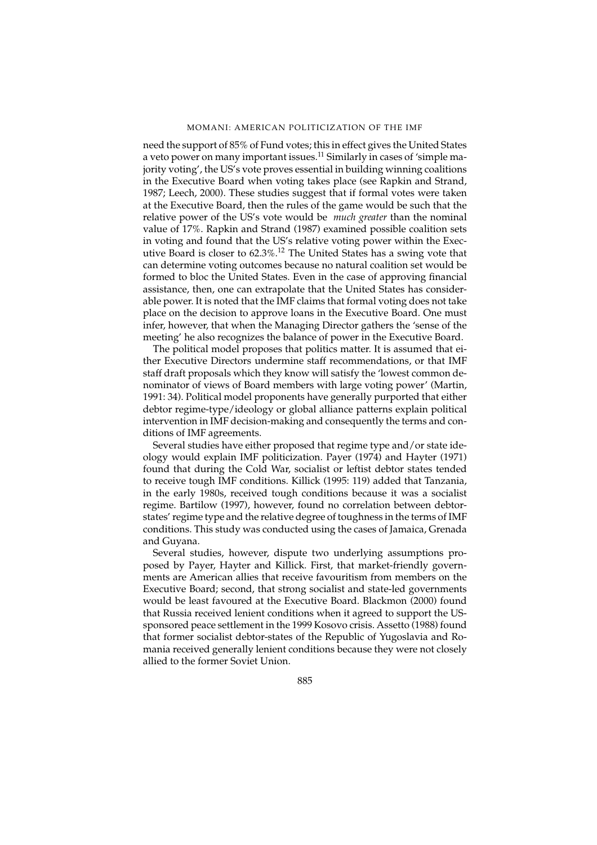need the support of 85% of Fund votes; this in effect gives the United States a veto power on many important issues.<sup>11</sup> Similarly in cases of 'simple majority voting', the US's vote proves essential in building winning coalitions in the Executive Board when voting takes place (see Rapkin and Strand, 1987; Leech, 2000). These studies suggest that if formal votes were taken at the Executive Board, then the rules of the game would be such that the relative power of the US's vote would be *much greater* than the nominal value of 17%. Rapkin and Strand (1987) examined possible coalition sets in voting and found that the US's relative voting power within the Executive Board is closer to 62.3%.<sup>12</sup> The United States has a swing vote that can determine voting outcomes because no natural coalition set would be formed to bloc the United States. Even in the case of approving financial assistance, then, one can extrapolate that the United States has considerable power. It is noted that the IMF claims that formal voting does not take place on the decision to approve loans in the Executive Board. One must infer, however, that when the Managing Director gathers the 'sense of the meeting' he also recognizes the balance of power in the Executive Board.

The political model proposes that politics matter. It is assumed that either Executive Directors undermine staff recommendations, or that IMF staff draft proposals which they know will satisfy the 'lowest common denominator of views of Board members with large voting power' (Martin, 1991: 34). Political model proponents have generally purported that either debtor regime-type/ideology or global alliance patterns explain political intervention in IMF decision-making and consequently the terms and conditions of IMF agreements.

Several studies have either proposed that regime type and/or state ideology would explain IMF politicization. Payer (1974) and Hayter (1971) found that during the Cold War, socialist or leftist debtor states tended to receive tough IMF conditions. Killick (1995: 119) added that Tanzania, in the early 1980s, received tough conditions because it was a socialist regime. Bartilow (1997), however, found no correlation between debtorstates' regime type and the relative degree of toughness in the terms of IMF conditions. This study was conducted using the cases of Jamaica, Grenada and Guyana.

Several studies, however, dispute two underlying assumptions proposed by Payer, Hayter and Killick. First, that market-friendly governments are American allies that receive favouritism from members on the Executive Board; second, that strong socialist and state-led governments would be least favoured at the Executive Board. Blackmon (2000) found that Russia received lenient conditions when it agreed to support the USsponsored peace settlement in the 1999 Kosovo crisis. Assetto (1988) found that former socialist debtor-states of the Republic of Yugoslavia and Romania received generally lenient conditions because they were not closely allied to the former Soviet Union.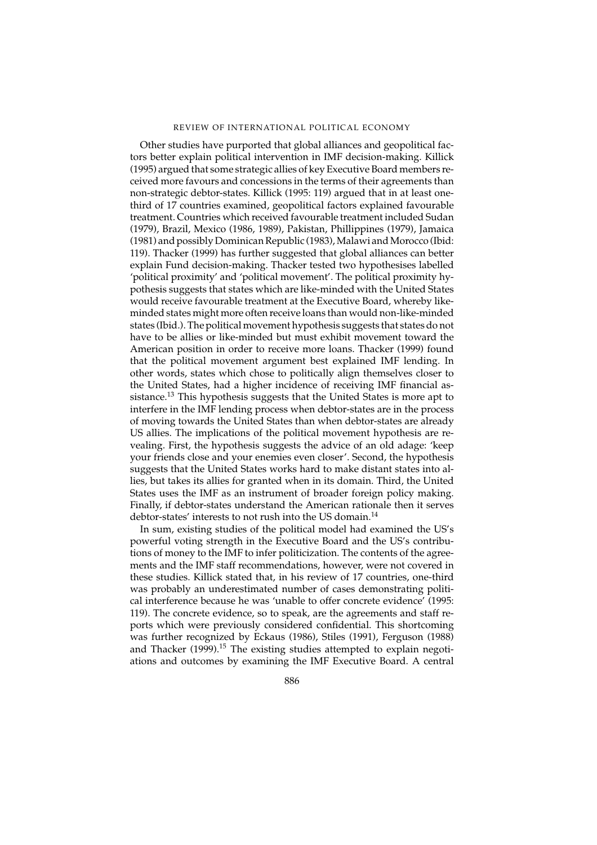Other studies have purported that global alliances and geopolitical factors better explain political intervention in IMF decision-making. Killick (1995) argued that some strategic allies of key Executive Board members received more favours and concessions in the terms of their agreements than non-strategic debtor-states. Killick (1995: 119) argued that in at least onethird of 17 countries examined, geopolitical factors explained favourable treatment. Countries which received favourable treatment included Sudan (1979), Brazil, Mexico (1986, 1989), Pakistan, Phillippines (1979), Jamaica (1981) and possibly Dominican Republic (1983), Malawi and Morocco (Ibid: 119). Thacker (1999) has further suggested that global alliances can better explain Fund decision-making. Thacker tested two hypothesises labelled 'political proximity' and 'political movement'. The political proximity hypothesis suggests that states which are like-minded with the United States would receive favourable treatment at the Executive Board, whereby likeminded states might more often receive loans than would non-like-minded states (Ibid.). The political movement hypothesis suggests that states do not have to be allies or like-minded but must exhibit movement toward the American position in order to receive more loans. Thacker (1999) found that the political movement argument best explained IMF lending. In other words, states which chose to politically align themselves closer to the United States, had a higher incidence of receiving IMF financial assistance.<sup>13</sup> This hypothesis suggests that the United States is more apt to interfere in the IMF lending process when debtor-states are in the process of moving towards the United States than when debtor-states are already US allies. The implications of the political movement hypothesis are revealing. First, the hypothesis suggests the advice of an old adage: 'keep your friends close and your enemies even closer'. Second, the hypothesis suggests that the United States works hard to make distant states into allies, but takes its allies for granted when in its domain. Third, the United States uses the IMF as an instrument of broader foreign policy making. Finally, if debtor-states understand the American rationale then it serves debtor-states' interests to not rush into the US domain.<sup>14</sup>

In sum, existing studies of the political model had examined the US's powerful voting strength in the Executive Board and the US's contributions of money to the IMF to infer politicization. The contents of the agreements and the IMF staff recommendations, however, were not covered in these studies. Killick stated that, in his review of 17 countries, one-third was probably an underestimated number of cases demonstrating political interference because he was 'unable to offer concrete evidence' (1995: 119). The concrete evidence, so to speak, are the agreements and staff reports which were previously considered confidential. This shortcoming was further recognized by Eckaus (1986), Stiles (1991), Ferguson (1988) and Thacker  $(1999)$ .<sup>15</sup> The existing studies attempted to explain negotiations and outcomes by examining the IMF Executive Board. A central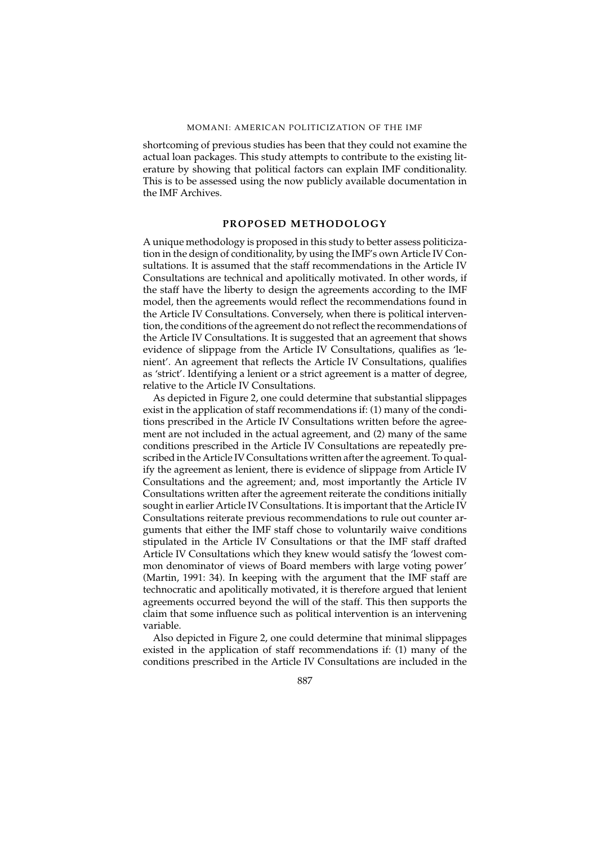shortcoming of previous studies has been that they could not examine the actual loan packages. This study attempts to contribute to the existing literature by showing that political factors can explain IMF conditionality. This is to be assessed using the now publicly available documentation in the IMF Archives.

## **PROPOSED METHODOLOGY**

A unique methodology is proposed in this study to better assess politicization in the design of conditionality, by using the IMF's own Article IV Consultations. It is assumed that the staff recommendations in the Article IV Consultations are technical and apolitically motivated. In other words, if the staff have the liberty to design the agreements according to the IMF model, then the agreements would reflect the recommendations found in the Article IV Consultations. Conversely, when there is political intervention, the conditions of the agreement do not reflect the recommendations of the Article IV Consultations. It is suggested that an agreement that shows evidence of slippage from the Article IV Consultations, qualifies as 'lenient'. An agreement that reflects the Article IV Consultations, qualifies as 'strict'. Identifying a lenient or a strict agreement is a matter of degree, relative to the Article IV Consultations.

As depicted in Figure 2, one could determine that substantial slippages exist in the application of staff recommendations if: (1) many of the conditions prescribed in the Article IV Consultations written before the agreement are not included in the actual agreement, and (2) many of the same conditions prescribed in the Article IV Consultations are repeatedly prescribed in the Article IV Consultations written after the agreement. To qualify the agreement as lenient, there is evidence of slippage from Article IV Consultations and the agreement; and, most importantly the Article IV Consultations written after the agreement reiterate the conditions initially sought in earlier Article IV Consultations. It is important that the Article IV Consultations reiterate previous recommendations to rule out counter arguments that either the IMF staff chose to voluntarily waive conditions stipulated in the Article IV Consultations or that the IMF staff drafted Article IV Consultations which they knew would satisfy the 'lowest common denominator of views of Board members with large voting power' (Martin, 1991: 34). In keeping with the argument that the IMF staff are technocratic and apolitically motivated, it is therefore argued that lenient agreements occurred beyond the will of the staff. This then supports the claim that some influence such as political intervention is an intervening variable.

Also depicted in Figure 2, one could determine that minimal slippages existed in the application of staff recommendations if: (1) many of the conditions prescribed in the Article IV Consultations are included in the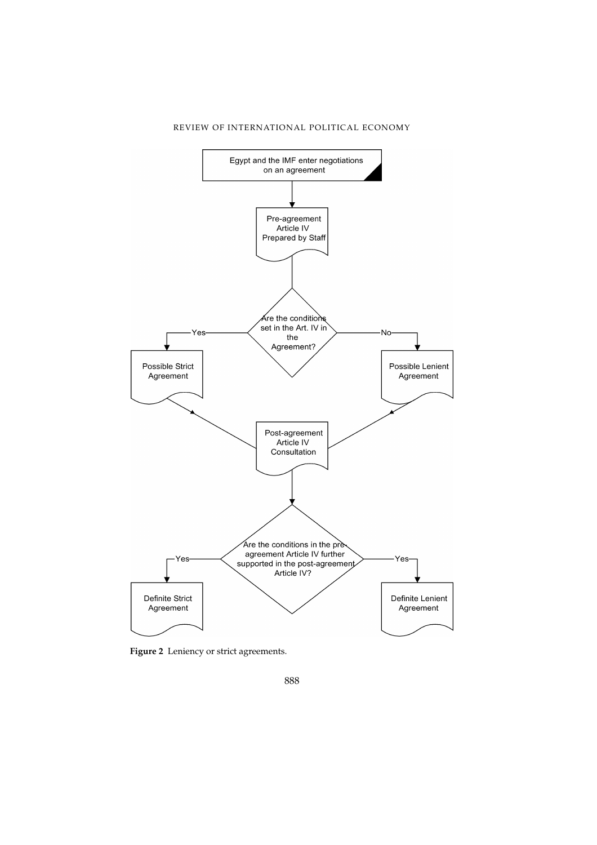

**Figure 2** Leniency or strict agreements.

888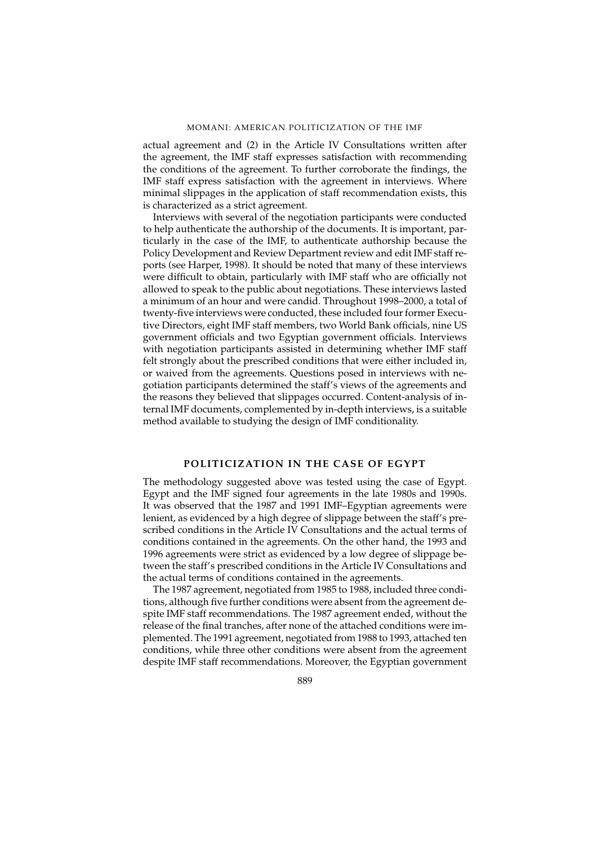actual agreement and (2) in the Article IV Consultations written after the agreement, the IMF staff expresses satisfaction with recommending the conditions of the agreement. To further corroborate the findings, the IMF staff express satisfaction with the agreement in interviews. Where minimal slippages in the application of staff recommendation exists, this is characterized as a strict agreement.

Interviews with several of the negotiation participants were conducted to help authenticate the authorship of the documents. It is important, particularly in the case of the IMF, to authenticate authorship because the Policy Development and Review Department review and edit IMF staff reports (see Harper, 1998). It should be noted that many of these interviews were difficult to obtain, particularly with IMF staff who are officially not allowed to speak to the public about negotiations. These interviews lasted a minimum of an hour and were candid. Throughout 1998–2000, a total of twenty-five interviews were conducted, these included four former Executive Directors, eight IMF staff members, two World Bank officials, nine US government officials and two Egyptian government officials. Interviews with negotiation participants assisted in determining whether IMF staff felt strongly about the prescribed conditions that were either included in, or waived from the agreements. Questions posed in interviews with negotiation participants determined the staff's views of the agreements and the reasons they believed that slippages occurred. Content-analysis of internal IMF documents, complemented by in-depth interviews, is a suitable method available to studying the design of IMF conditionality.

## **POLITICIZATION IN THE CASE OF EGYPT**

The methodology suggested above was tested using the case of Egypt. Egypt and the IMF signed four agreements in the late 1980s and 1990s. It was observed that the 1987 and 1991 IMF–Egyptian agreements were lenient, as evidenced by a high degree of slippage between the staff's prescribed conditions in the Article IV Consultations and the actual terms of conditions contained in the agreements. On the other hand, the 1993 and 1996 agreements were strict as evidenced by a low degree of slippage between the staff's prescribed conditions in the Article IV Consultations and the actual terms of conditions contained in the agreements.

The 1987 agreement, negotiated from 1985 to 1988, included three conditions, although five further conditions were absent from the agreement despite IMF staff recommendations. The 1987 agreement ended, without the release of the final tranches, after none of the attached conditions were implemented. The 1991 agreement, negotiated from 1988 to 1993, attached ten conditions, while three other conditions were absent from the agreement despite IMF staff recommendations. Moreover, the Egyptian government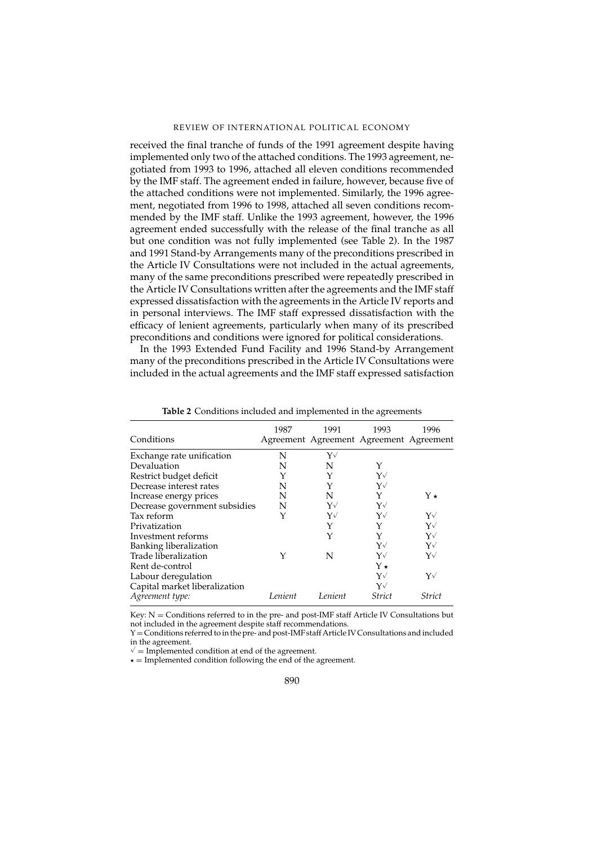received the final tranche of funds of the 1991 agreement despite having implemented only two of the attached conditions. The 1993 agreement, negotiated from 1993 to 1996, attached all eleven conditions recommended by the IMF staff. The agreement ended in failure, however, because five of the attached conditions were not implemented. Similarly, the 1996 agreement, negotiated from 1996 to 1998, attached all seven conditions recommended by the IMF staff. Unlike the 1993 agreement, however, the 1996 agreement ended successfully with the release of the final tranche as all but one condition was not fully implemented (see Table 2). In the 1987 and 1991 Stand-by Arrangements many of the preconditions prescribed in the Article IV Consultations were not included in the actual agreements, many of the same preconditions prescribed were repeatedly prescribed in the Article IV Consultations written after the agreements and the IMF staff expressed dissatisfaction with the agreements in the Article IV reports and in personal interviews. The IMF staff expressed dissatisfaction with the efficacy of lenient agreements, particularly when many of its prescribed preconditions and conditions were ignored for political considerations.

In the 1993 Extended Fund Facility and 1996 Stand-by Arrangement many of the preconditions prescribed in the Article IV Consultations were included in the actual agreements and the IMF staff expressed satisfaction

| Conditions                    | 1987    | 1991<br>Agreement Agreement Agreement Agreement | 1993           | 1996                 |
|-------------------------------|---------|-------------------------------------------------|----------------|----------------------|
| Exchange rate unification     | N       | Y√                                              |                |                      |
| Devaluation                   | N       | N                                               | Υ              |                      |
| Restrict budget deficit       |         | Y                                               | Y√             |                      |
| Decrease interest rates       | N       | Y                                               | Y√             |                      |
| Increase energy prices        | N       | N                                               | Y              | Y∗                   |
| Decrease government subsidies | N       | Y√                                              | Y√             |                      |
| Tax reform                    | Y       | Y√                                              | Y√             | Y√                   |
| Privatization                 |         | Y                                               | Υ              | Y√                   |
| Investment reforms            |         | Y                                               | Υ              | $Y\sqrt{}$           |
| Banking liberalization        |         |                                                 | Y√             | Y√                   |
| Trade liberalization          | Y       | N                                               | Y√             | Y√                   |
| Rent de-control               |         |                                                 | Y <sup>*</sup> |                      |
| Labour deregulation           |         |                                                 | Y√             | Y√                   |
| Capital market liberalization |         |                                                 | Y√             |                      |
| Agreement type:               | Lenient | Lenient                                         | Strict         | <i><b>Strict</b></i> |

**Table 2** Conditions included and implemented in the agreements

Key:  $N =$  Conditions referred to in the pre- and post-IMF staff Article IV Consultations but not included in the agreement despite staff recommendations.

Y=Conditions referred to in the pre- and post-IMF staff Article IV Consultations and included in the agreement.

 $\sqrt{\frac{1}{1}}$  = Implemented condition at end of the agreement.

 $\star$  = Implemented condition following the end of the agreement.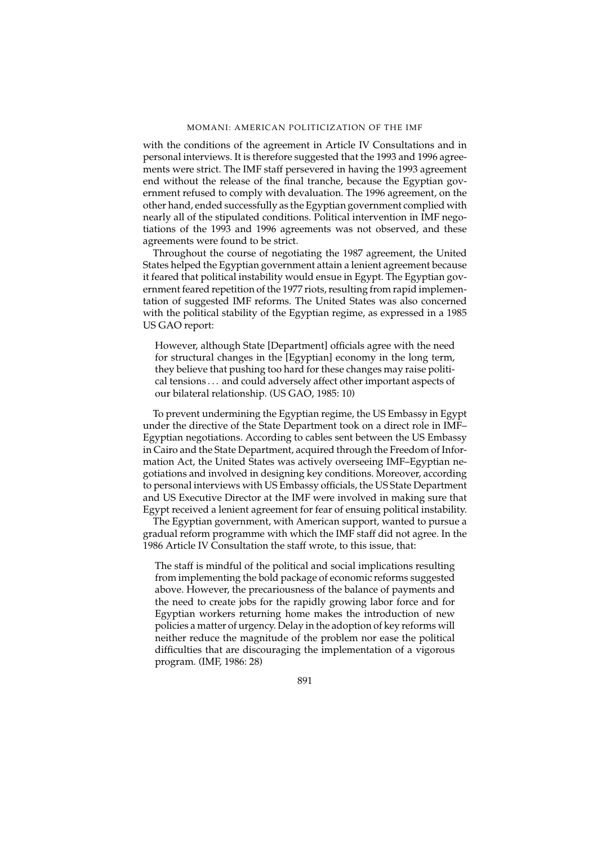with the conditions of the agreement in Article IV Consultations and in personal interviews. It is therefore suggested that the 1993 and 1996 agreements were strict. The IMF staff persevered in having the 1993 agreement end without the release of the final tranche, because the Egyptian government refused to comply with devaluation. The 1996 agreement, on the other hand, ended successfully as the Egyptian government complied with nearly all of the stipulated conditions. Political intervention in IMF negotiations of the 1993 and 1996 agreements was not observed, and these agreements were found to be strict.

Throughout the course of negotiating the 1987 agreement, the United States helped the Egyptian government attain a lenient agreement because it feared that political instability would ensue in Egypt. The Egyptian government feared repetition of the 1977 riots, resulting from rapid implementation of suggested IMF reforms. The United States was also concerned with the political stability of the Egyptian regime, as expressed in a 1985 US GAO report:

However, although State [Department] officials agree with the need for structural changes in the [Egyptian] economy in the long term, they believe that pushing too hard for these changes may raise political tensions . . . and could adversely affect other important aspects of our bilateral relationship. (US GAO, 1985: 10)

To prevent undermining the Egyptian regime, the US Embassy in Egypt under the directive of the State Department took on a direct role in IMF– Egyptian negotiations. According to cables sent between the US Embassy in Cairo and the State Department, acquired through the Freedom of Information Act, the United States was actively overseeing IMF–Egyptian negotiations and involved in designing key conditions. Moreover, according to personal interviews with US Embassy officials, the US State Department and US Executive Director at the IMF were involved in making sure that Egypt received a lenient agreement for fear of ensuing political instability.

The Egyptian government, with American support, wanted to pursue a gradual reform programme with which the IMF staff did not agree. In the 1986 Article IV Consultation the staff wrote, to this issue, that:

The staff is mindful of the political and social implications resulting from implementing the bold package of economic reforms suggested above. However, the precariousness of the balance of payments and the need to create jobs for the rapidly growing labor force and for Egyptian workers returning home makes the introduction of new policies a matter of urgency. Delay in the adoption of key reforms will neither reduce the magnitude of the problem nor ease the political difficulties that are discouraging the implementation of a vigorous program. (IMF, 1986: 28)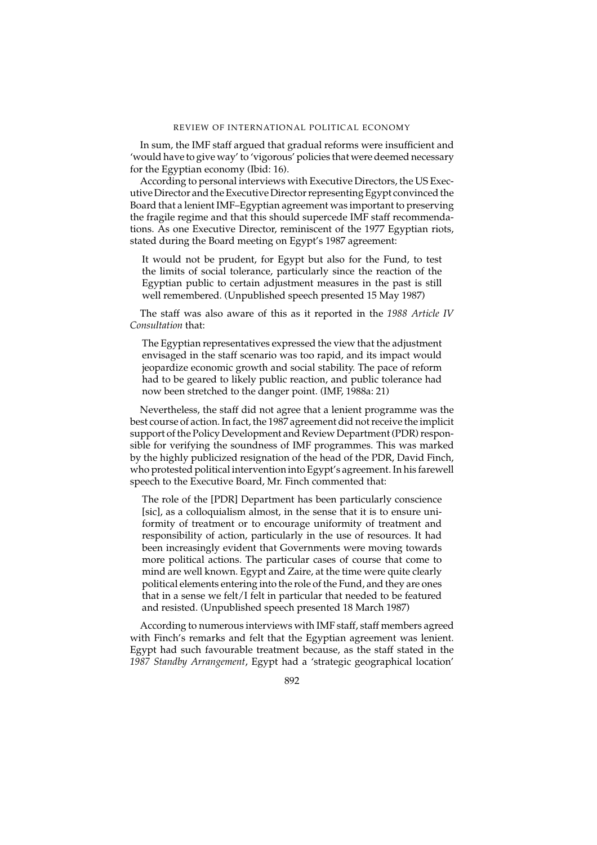In sum, the IMF staff argued that gradual reforms were insufficient and 'would have to give way' to 'vigorous' policies that were deemed necessary for the Egyptian economy (Ibid: 16).

According to personal interviews with Executive Directors, the US Executive Director and the Executive Director representing Egypt convinced the Board that a lenient IMF–Egyptian agreement was important to preserving the fragile regime and that this should supercede IMF staff recommendations. As one Executive Director, reminiscent of the 1977 Egyptian riots, stated during the Board meeting on Egypt's 1987 agreement:

It would not be prudent, for Egypt but also for the Fund, to test the limits of social tolerance, particularly since the reaction of the Egyptian public to certain adjustment measures in the past is still well remembered. (Unpublished speech presented 15 May 1987)

The staff was also aware of this as it reported in the *1988 Article IV Consultation* that:

The Egyptian representatives expressed the view that the adjustment envisaged in the staff scenario was too rapid, and its impact would jeopardize economic growth and social stability. The pace of reform had to be geared to likely public reaction, and public tolerance had now been stretched to the danger point. (IMF, 1988a: 21)

Nevertheless, the staff did not agree that a lenient programme was the best course of action. In fact, the 1987 agreement did not receive the implicit support of the Policy Development and Review Department (PDR) responsible for verifying the soundness of IMF programmes. This was marked by the highly publicized resignation of the head of the PDR, David Finch, who protested political intervention into Egypt's agreement. In his farewell speech to the Executive Board, Mr. Finch commented that:

The role of the [PDR] Department has been particularly conscience [sic], as a colloquialism almost, in the sense that it is to ensure uniformity of treatment or to encourage uniformity of treatment and responsibility of action, particularly in the use of resources. It had been increasingly evident that Governments were moving towards more political actions. The particular cases of course that come to mind are well known. Egypt and Zaire, at the time were quite clearly political elements entering into the role of the Fund, and they are ones that in a sense we felt/I felt in particular that needed to be featured and resisted. (Unpublished speech presented 18 March 1987)

According to numerous interviews with IMF staff, staff members agreed with Finch's remarks and felt that the Egyptian agreement was lenient. Egypt had such favourable treatment because, as the staff stated in the *1987 Standby Arrangement*, Egypt had a 'strategic geographical location'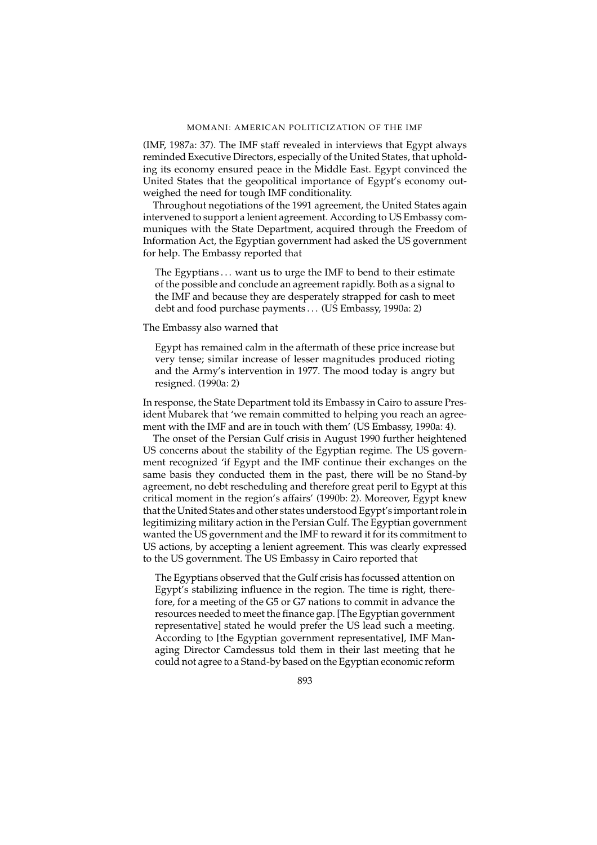(IMF, 1987a: 37). The IMF staff revealed in interviews that Egypt always reminded Executive Directors, especially of the United States, that upholding its economy ensured peace in the Middle East. Egypt convinced the United States that the geopolitical importance of Egypt's economy outweighed the need for tough IMF conditionality.

Throughout negotiations of the 1991 agreement, the United States again intervened to support a lenient agreement. According to US Embassy communiques with the State Department, acquired through the Freedom of Information Act, the Egyptian government had asked the US government for help. The Embassy reported that

The Egyptians ... want us to urge the IMF to bend to their estimate of the possible and conclude an agreement rapidly. Both as a signal to the IMF and because they are desperately strapped for cash to meet debt and food purchase payments . . . (US Embassy, 1990a: 2)

#### The Embassy also warned that

Egypt has remained calm in the aftermath of these price increase but very tense; similar increase of lesser magnitudes produced rioting and the Army's intervention in 1977. The mood today is angry but resigned. (1990a: 2)

In response, the State Department told its Embassy in Cairo to assure President Mubarek that 'we remain committed to helping you reach an agreement with the IMF and are in touch with them' (US Embassy, 1990a: 4).

The onset of the Persian Gulf crisis in August 1990 further heightened US concerns about the stability of the Egyptian regime. The US government recognized 'if Egypt and the IMF continue their exchanges on the same basis they conducted them in the past, there will be no Stand-by agreement, no debt rescheduling and therefore great peril to Egypt at this critical moment in the region's affairs' (1990b: 2). Moreover, Egypt knew that the United States and other states understood Egypt's important role in legitimizing military action in the Persian Gulf. The Egyptian government wanted the US government and the IMF to reward it for its commitment to US actions, by accepting a lenient agreement. This was clearly expressed to the US government. The US Embassy in Cairo reported that

The Egyptians observed that the Gulf crisis has focussed attention on Egypt's stabilizing influence in the region. The time is right, therefore, for a meeting of the G5 or G7 nations to commit in advance the resources needed to meet the finance gap. [The Egyptian government representative] stated he would prefer the US lead such a meeting. According to [the Egyptian government representative], IMF Managing Director Camdessus told them in their last meeting that he could not agree to a Stand-by based on the Egyptian economic reform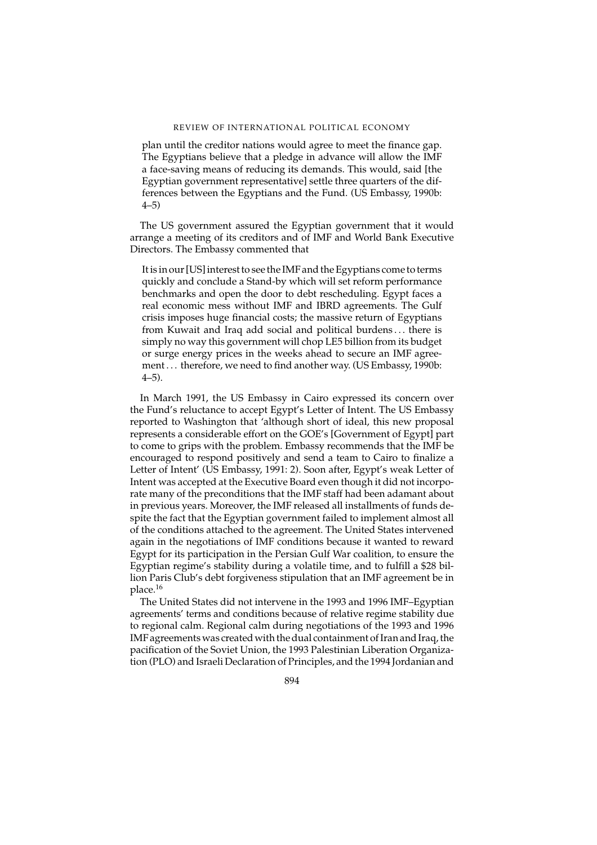plan until the creditor nations would agree to meet the finance gap. The Egyptians believe that a pledge in advance will allow the IMF a face-saving means of reducing its demands. This would, said [the Egyptian government representative] settle three quarters of the differences between the Egyptians and the Fund. (US Embassy, 1990b: 4–5)

The US government assured the Egyptian government that it would arrange a meeting of its creditors and of IMF and World Bank Executive Directors. The Embassy commented that

It is in our [US] interest to see the IMF and the Egyptians come to terms quickly and conclude a Stand-by which will set reform performance benchmarks and open the door to debt rescheduling. Egypt faces a real economic mess without IMF and IBRD agreements. The Gulf crisis imposes huge financial costs; the massive return of Egyptians from Kuwait and Iraq add social and political burdens . . . there is simply no way this government will chop LE5 billion from its budget or surge energy prices in the weeks ahead to secure an IMF agreement . . . therefore, we need to find another way. (US Embassy, 1990b: 4–5).

In March 1991, the US Embassy in Cairo expressed its concern over the Fund's reluctance to accept Egypt's Letter of Intent. The US Embassy reported to Washington that 'although short of ideal, this new proposal represents a considerable effort on the GOE's [Government of Egypt] part to come to grips with the problem. Embassy recommends that the IMF be encouraged to respond positively and send a team to Cairo to finalize a Letter of Intent' (US Embassy, 1991: 2). Soon after, Egypt's weak Letter of Intent was accepted at the Executive Board even though it did not incorporate many of the preconditions that the IMF staff had been adamant about in previous years. Moreover, the IMF released all installments of funds despite the fact that the Egyptian government failed to implement almost all of the conditions attached to the agreement. The United States intervened again in the negotiations of IMF conditions because it wanted to reward Egypt for its participation in the Persian Gulf War coalition, to ensure the Egyptian regime's stability during a volatile time, and to fulfill a \$28 billion Paris Club's debt forgiveness stipulation that an IMF agreement be in place.<sup>16</sup>

The United States did not intervene in the 1993 and 1996 IMF–Egyptian agreements' terms and conditions because of relative regime stability due to regional calm. Regional calm during negotiations of the 1993 and 1996 IMF agreements was created with the dual containment of Iran and Iraq, the pacification of the Soviet Union, the 1993 Palestinian Liberation Organization (PLO) and Israeli Declaration of Principles, and the 1994 Jordanian and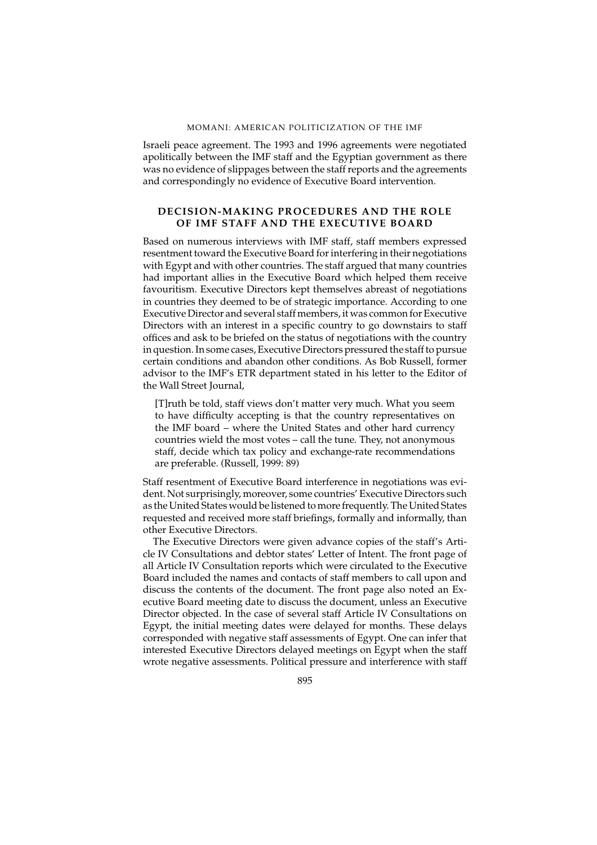Israeli peace agreement. The 1993 and 1996 agreements were negotiated apolitically between the IMF staff and the Egyptian government as there was no evidence of slippages between the staff reports and the agreements and correspondingly no evidence of Executive Board intervention.

#### **DECISION-MAKING PROCEDURES AND THE ROLE OF IMF STAFF AND THE EXECUTIVE BOARD**

Based on numerous interviews with IMF staff, staff members expressed resentment toward the Executive Board for interfering in their negotiations with Egypt and with other countries. The staff argued that many countries had important allies in the Executive Board which helped them receive favouritism. Executive Directors kept themselves abreast of negotiations in countries they deemed to be of strategic importance. According to one Executive Director and several staff members, it was common for Executive Directors with an interest in a specific country to go downstairs to staff offices and ask to be briefed on the status of negotiations with the country in question. In some cases, Executive Directors pressured the staff to pursue certain conditions and abandon other conditions. As Bob Russell, former advisor to the IMF's ETR department stated in his letter to the Editor of the Wall Street Journal,

[T]ruth be told, staff views don't matter very much. What you seem to have difficulty accepting is that the country representatives on the IMF board – where the United States and other hard currency countries wield the most votes – call the tune. They, not anonymous staff, decide which tax policy and exchange-rate recommendations are preferable. (Russell, 1999: 89)

Staff resentment of Executive Board interference in negotiations was evident. Not surprisingly, moreover, some countries' Executive Directors such as the United States would be listened to more frequently. The United States requested and received more staff briefings, formally and informally, than other Executive Directors.

The Executive Directors were given advance copies of the staff's Article IV Consultations and debtor states' Letter of Intent. The front page of all Article IV Consultation reports which were circulated to the Executive Board included the names and contacts of staff members to call upon and discuss the contents of the document. The front page also noted an Executive Board meeting date to discuss the document, unless an Executive Director objected. In the case of several staff Article IV Consultations on Egypt, the initial meeting dates were delayed for months. These delays corresponded with negative staff assessments of Egypt. One can infer that interested Executive Directors delayed meetings on Egypt when the staff wrote negative assessments. Political pressure and interference with staff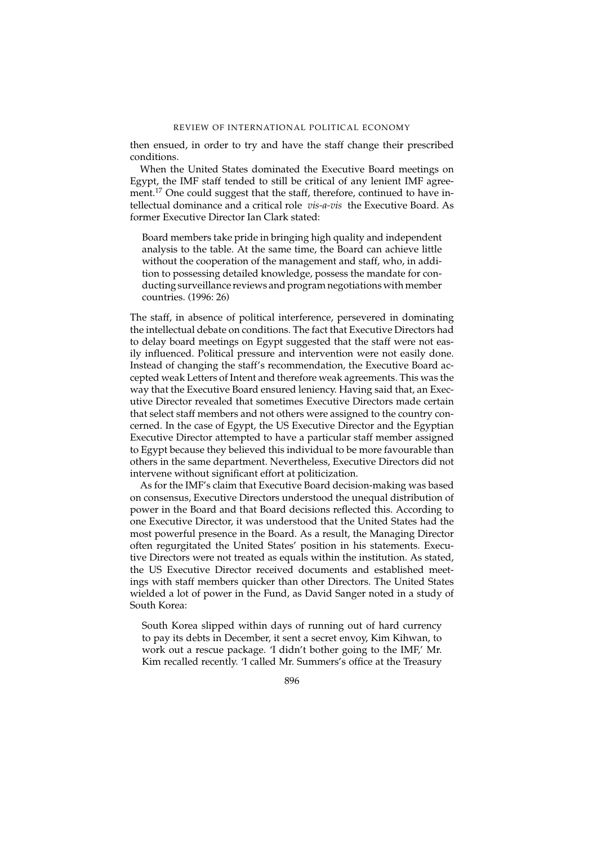then ensued, in order to try and have the staff change their prescribed conditions.

When the United States dominated the Executive Board meetings on Egypt, the IMF staff tended to still be critical of any lenient IMF agreement.<sup>17</sup> One could suggest that the staff, therefore, continued to have intellectual dominance and a critical role *vis-a-vis* the Executive Board. As former Executive Director Ian Clark stated:

Board members take pride in bringing high quality and independent analysis to the table. At the same time, the Board can achieve little without the cooperation of the management and staff, who, in addition to possessing detailed knowledge, possess the mandate for conducting surveillance reviews and program negotiations with member countries. (1996: 26)

The staff, in absence of political interference, persevered in dominating the intellectual debate on conditions. The fact that Executive Directors had to delay board meetings on Egypt suggested that the staff were not easily influenced. Political pressure and intervention were not easily done. Instead of changing the staff's recommendation, the Executive Board accepted weak Letters of Intent and therefore weak agreements. This was the way that the Executive Board ensured leniency. Having said that, an Executive Director revealed that sometimes Executive Directors made certain that select staff members and not others were assigned to the country concerned. In the case of Egypt, the US Executive Director and the Egyptian Executive Director attempted to have a particular staff member assigned to Egypt because they believed this individual to be more favourable than others in the same department. Nevertheless, Executive Directors did not intervene without significant effort at politicization.

As for the IMF's claim that Executive Board decision-making was based on consensus, Executive Directors understood the unequal distribution of power in the Board and that Board decisions reflected this. According to one Executive Director, it was understood that the United States had the most powerful presence in the Board. As a result, the Managing Director often regurgitated the United States' position in his statements. Executive Directors were not treated as equals within the institution. As stated, the US Executive Director received documents and established meetings with staff members quicker than other Directors. The United States wielded a lot of power in the Fund, as David Sanger noted in a study of South Korea:

South Korea slipped within days of running out of hard currency to pay its debts in December, it sent a secret envoy, Kim Kihwan, to work out a rescue package. 'I didn't bother going to the IMF,' Mr. Kim recalled recently. 'I called Mr. Summers's office at the Treasury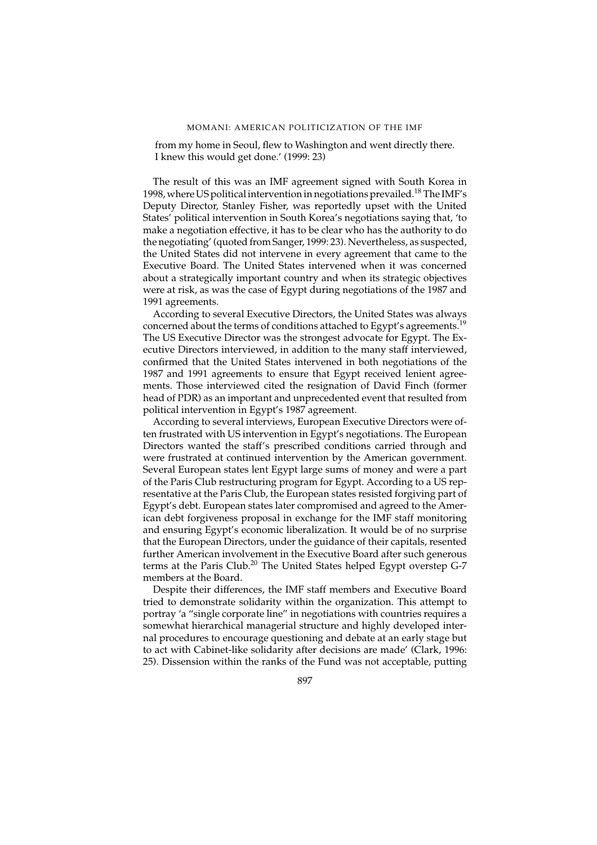from my home in Seoul, flew to Washington and went directly there. I knew this would get done.' (1999: 23)

The result of this was an IMF agreement signed with South Korea in 1998, where US political intervention in negotiations prevailed.<sup>18</sup> The IMF's Deputy Director, Stanley Fisher, was reportedly upset with the United States' political intervention in South Korea's negotiations saying that, 'to make a negotiation effective, it has to be clear who has the authority to do the negotiating' (quoted from Sanger, 1999: 23). Nevertheless, as suspected, the United States did not intervene in every agreement that came to the Executive Board. The United States intervened when it was concerned about a strategically important country and when its strategic objectives were at risk, as was the case of Egypt during negotiations of the 1987 and 1991 agreements.

According to several Executive Directors, the United States was always concerned about the terms of conditions attached to Egypt's agreements.<sup>19</sup> The US Executive Director was the strongest advocate for Egypt. The Executive Directors interviewed, in addition to the many staff interviewed, confirmed that the United States intervened in both negotiations of the 1987 and 1991 agreements to ensure that Egypt received lenient agreements. Those interviewed cited the resignation of David Finch (former head of PDR) as an important and unprecedented event that resulted from political intervention in Egypt's 1987 agreement.

According to several interviews, European Executive Directors were often frustrated with US intervention in Egypt's negotiations. The European Directors wanted the staff's prescribed conditions carried through and were frustrated at continued intervention by the American government. Several European states lent Egypt large sums of money and were a part of the Paris Club restructuring program for Egypt. According to a US representative at the Paris Club, the European states resisted forgiving part of Egypt's debt. European states later compromised and agreed to the American debt forgiveness proposal in exchange for the IMF staff monitoring and ensuring Egypt's economic liberalization. It would be of no surprise that the European Directors, under the guidance of their capitals, resented further American involvement in the Executive Board after such generous terms at the Paris Club.<sup>20</sup> The United States helped Egypt overstep  $G-7$ members at the Board.

Despite their differences, the IMF staff members and Executive Board tried to demonstrate solidarity within the organization. This attempt to portray 'a "single corporate line" in negotiations with countries requires a somewhat hierarchical managerial structure and highly developed internal procedures to encourage questioning and debate at an early stage but to act with Cabinet-like solidarity after decisions are made' (Clark, 1996: 25). Dissension within the ranks of the Fund was not acceptable, putting

897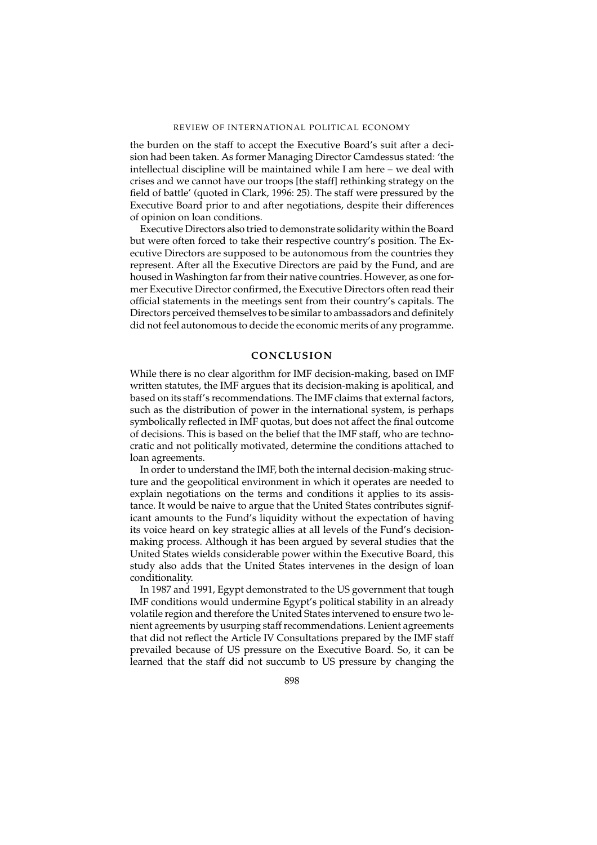the burden on the staff to accept the Executive Board's suit after a decision had been taken. As former Managing Director Camdessus stated: 'the intellectual discipline will be maintained while I am here – we deal with crises and we cannot have our troops [the staff] rethinking strategy on the field of battle' (quoted in Clark, 1996: 25). The staff were pressured by the Executive Board prior to and after negotiations, despite their differences of opinion on loan conditions.

Executive Directors also tried to demonstrate solidarity within the Board but were often forced to take their respective country's position. The Executive Directors are supposed to be autonomous from the countries they represent. After all the Executive Directors are paid by the Fund, and are housed in Washington far from their native countries. However, as one former Executive Director confirmed, the Executive Directors often read their official statements in the meetings sent from their country's capitals. The Directors perceived themselves to be similar to ambassadors and definitely did not feel autonomous to decide the economic merits of any programme.

## **CONCLUSION**

While there is no clear algorithm for IMF decision-making, based on IMF written statutes, the IMF argues that its decision-making is apolitical, and based on its staff's recommendations. The IMF claims that external factors, such as the distribution of power in the international system, is perhaps symbolically reflected in IMF quotas, but does not affect the final outcome of decisions. This is based on the belief that the IMF staff, who are technocratic and not politically motivated, determine the conditions attached to loan agreements.

In order to understand the IMF, both the internal decision-making structure and the geopolitical environment in which it operates are needed to explain negotiations on the terms and conditions it applies to its assistance. It would be naive to argue that the United States contributes significant amounts to the Fund's liquidity without the expectation of having its voice heard on key strategic allies at all levels of the Fund's decisionmaking process. Although it has been argued by several studies that the United States wields considerable power within the Executive Board, this study also adds that the United States intervenes in the design of loan conditionality.

In 1987 and 1991, Egypt demonstrated to the US government that tough IMF conditions would undermine Egypt's political stability in an already volatile region and therefore the United States intervened to ensure two lenient agreements by usurping staff recommendations. Lenient agreements that did not reflect the Article IV Consultations prepared by the IMF staff prevailed because of US pressure on the Executive Board. So, it can be learned that the staff did not succumb to US pressure by changing the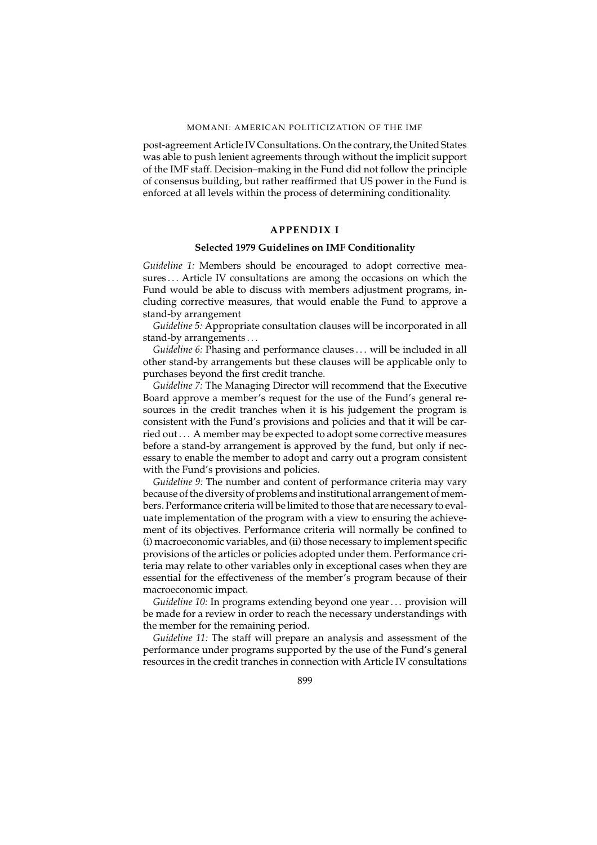post-agreement Article IV Consultations. On the contrary, the United States was able to push lenient agreements through without the implicit support of the IMF staff. Decision–making in the Fund did not follow the principle of consensus building, but rather reaffirmed that US power in the Fund is enforced at all levels within the process of determining conditionality.

## **APPENDIX I**

#### **Selected 1979 Guidelines on IMF Conditionality**

*Guideline 1:* Members should be encouraged to adopt corrective measures... Article IV consultations are among the occasions on which the Fund would be able to discuss with members adjustment programs, including corrective measures, that would enable the Fund to approve a stand-by arrangement

*Guideline 5:* Appropriate consultation clauses will be incorporated in all stand-by arrangements . . .

*Guideline 6:* Phasing and performance clauses . . . will be included in all other stand-by arrangements but these clauses will be applicable only to purchases beyond the first credit tranche.

*Guideline 7:* The Managing Director will recommend that the Executive Board approve a member's request for the use of the Fund's general resources in the credit tranches when it is his judgement the program is consistent with the Fund's provisions and policies and that it will be carried out . . . A member may be expected to adopt some corrective measures before a stand-by arrangement is approved by the fund, but only if necessary to enable the member to adopt and carry out a program consistent with the Fund's provisions and policies.

*Guideline 9:* The number and content of performance criteria may vary because of the diversity of problems and institutional arrangement of members. Performance criteria will be limited to those that are necessary to evaluate implementation of the program with a view to ensuring the achievement of its objectives. Performance criteria will normally be confined to (i) macroeconomic variables, and (ii) those necessary to implement specific provisions of the articles or policies adopted under them. Performance criteria may relate to other variables only in exceptional cases when they are essential for the effectiveness of the member's program because of their macroeconomic impact.

*Guideline 10:* In programs extending beyond one year . . . provision will be made for a review in order to reach the necessary understandings with the member for the remaining period.

*Guideline 11:* The staff will prepare an analysis and assessment of the performance under programs supported by the use of the Fund's general resources in the credit tranches in connection with Article IV consultations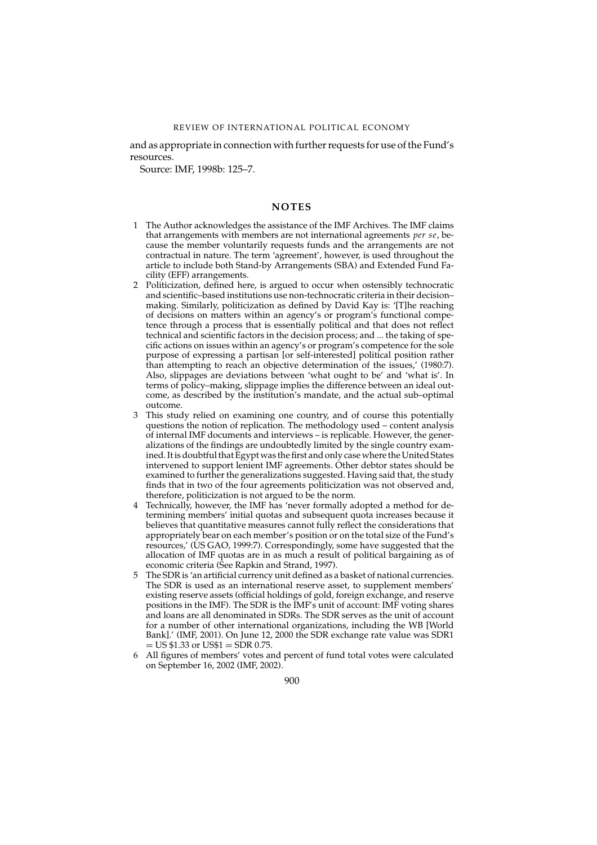and as appropriate in connection with further requests for use of the Fund's resources.

Source: IMF, 1998b: 125–7.

### **NOTES**

- 1 The Author acknowledges the assistance of the IMF Archives. The IMF claims that arrangements with members are not international agreements *per se*, because the member voluntarily requests funds and the arrangements are not contractual in nature. The term 'agreement', however, is used throughout the article to include both Stand-by Arrangements (SBA) and Extended Fund Facility (EFF) arrangements.
- 2 Politicization, defined here, is argued to occur when ostensibly technocratic and scientific–based institutions use non-technocratic criteria in their decision– making. Similarly, politicization as defined by David Kay is: '[T]he reaching of decisions on matters within an agency's or program's functional competence through a process that is essentially political and that does not reflect technical and scientific factors in the decision process; and ... the taking of specific actions on issues within an agency's or program's competence for the sole purpose of expressing a partisan [or self-interested] political position rather than attempting to reach an objective determination of the issues,' (1980:7). Also, slippages are deviations between 'what ought to be' and 'what is'. In terms of policy–making, slippage implies the difference between an ideal outcome, as described by the institution's mandate, and the actual sub–optimal outcome.
- 3 This study relied on examining one country, and of course this potentially questions the notion of replication. The methodology used – content analysis of internal IMF documents and interviews – is replicable. However, the generalizations of the findings are undoubtedly limited by the single country examined. It is doubtful that Egypt was the first and only case where the United States intervened to support lenient IMF agreements. Other debtor states should be examined to further the generalizations suggested. Having said that, the study finds that in two of the four agreements politicization was not observed and, therefore, politicization is not argued to be the norm.
- Technically, however, the IMF has 'never formally adopted a method for determining members' initial quotas and subsequent quota increases because it believes that quantitative measures cannot fully reflect the considerations that appropriately bear on each member's position or on the total size of the Fund's resources,' (US GAO, 1999:7). Correspondingly, some have suggested that the allocation of IMF quotas are in as much a result of political bargaining as of economic criteria (See Rapkin and Strand, 1997).
- 5 The SDR is 'an artificial currency unit defined as a basket of national currencies. The SDR is used as an international reserve asset, to supplement members' existing reserve assets (official holdings of gold, foreign exchange, and reserve positions in the IMF). The SDR is the IMF's unit of account: IMF voting shares and loans are all denominated in SDRs. The SDR serves as the unit of account for a number of other international organizations, including the WB [World Bank].' (IMF, 2001). On June 12, 2000 the SDR exchange rate value was SDR1  $=$  US \$1.33 or US\$1  $=$  SDR 0.75.
- 6 All figures of members' votes and percent of fund total votes were calculated on September 16, 2002 (IMF, 2002).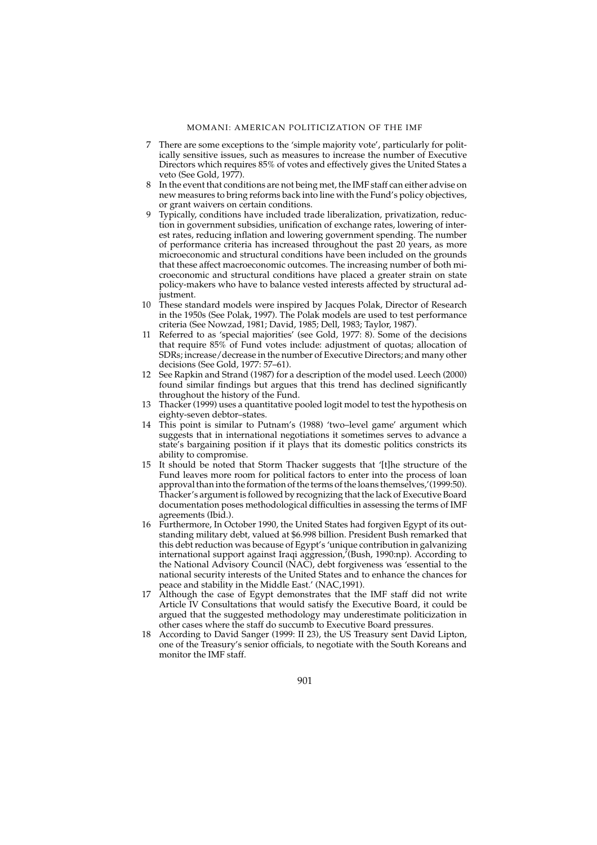- 7 There are some exceptions to the 'simple majority vote', particularly for politically sensitive issues, such as measures to increase the number of Executive Directors which requires 85% of votes and effectively gives the United States a veto (See Gold, 1977).
- 8 In the event that conditions are not being met, the IMF staff can either advise on new measures to bring reforms back into line with the Fund's policy objectives, or grant waivers on certain conditions.
- 9 Typically, conditions have included trade liberalization, privatization, reduction in government subsidies, unification of exchange rates, lowering of interest rates, reducing inflation and lowering government spending. The number of performance criteria has increased throughout the past 20 years, as more microeconomic and structural conditions have been included on the grounds that these affect macroeconomic outcomes. The increasing number of both microeconomic and structural conditions have placed a greater strain on state policy-makers who have to balance vested interests affected by structural adjustment.
- 10 These standard models were inspired by Jacques Polak, Director of Research in the 1950s (See Polak, 1997). The Polak models are used to test performance criteria (See Nowzad, 1981; David, 1985; Dell, 1983; Taylor, 1987).
- 11 Referred to as 'special majorities' (see Gold, 1977: 8). Some of the decisions that require 85% of Fund votes include: adjustment of quotas; allocation of SDRs; increase/decrease in the number of Executive Directors; and many other decisions (See Gold, 1977: 57–61).
- 12 See Rapkin and Strand (1987) for a description of the model used. Leech (2000) found similar findings but argues that this trend has declined significantly throughout the history of the Fund.
- 13 Thacker (1999) uses a quantitative pooled logit model to test the hypothesis on eighty-seven debtor–states.
- 14 This point is similar to Putnam's (1988) 'two–level game' argument which suggests that in international negotiations it sometimes serves to advance a state's bargaining position if it plays that its domestic politics constricts its ability to compromise.
- 15 It should be noted that Storm Thacker suggests that '[t]he structure of the Fund leaves more room for political factors to enter into the process of loan approval than into the formation of the terms of the loans themselves,'(1999:50). Thacker's argument is followed by recognizing that the lack of Executive Board documentation poses methodological difficulties in assessing the terms of IMF agreements (Ibid.).
- 16 Furthermore, In October 1990, the United States had forgiven Egypt of its outstanding military debt, valued at \$6.998 billion. President Bush remarked that this debt reduction was because of Egypt's 'unique contribution in galvanizing international support against Iraqi aggression,'(Bush, 1990:np). According to the National Advisory Council (NAC), debt forgiveness was 'essential to the national security interests of the United States and to enhance the chances for peace and stability in the Middle East.' (NAC,1991).
- 17 Although the case of Egypt demonstrates that the IMF staff did not write Article IV Consultations that would satisfy the Executive Board, it could be argued that the suggested methodology may underestimate politicization in other cases where the staff do succumb to Executive Board pressures.
- 18 According to David Sanger (1999: II 23), the US Treasury sent David Lipton, one of the Treasury's senior officials, to negotiate with the South Koreans and monitor the IMF staff.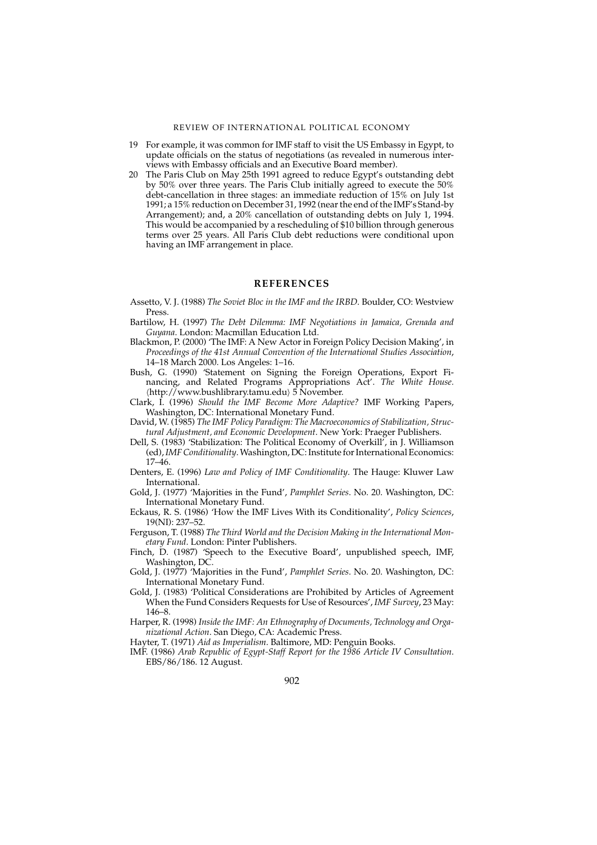- 19 For example, it was common for IMF staff to visit the US Embassy in Egypt, to update officials on the status of negotiations (as revealed in numerous interviews with Embassy officials and an Executive Board member).
- 20 The Paris Club on May 25th 1991 agreed to reduce Egypt's outstanding debt by 50% over three years. The Paris Club initially agreed to execute the 50% debt-cancellation in three stages: an immediate reduction of 15% on July 1st 1991; a 15% reduction on December 31, 1992 (near the end of the IMF's Stand-by Arrangement); and, a 20% cancellation of outstanding debts on July 1, 1994. This would be accompanied by a rescheduling of \$10 billion through generous terms over 25 years. All Paris Club debt reductions were conditional upon having an IMF arrangement in place.

#### **REFERENCES**

- Assetto, V. J. (1988) *The Soviet Bloc in the IMF and the IRBD*. Boulder, CO: Westview Press.
- Bartilow, H. (1997) *The Debt Dilemma: IMF Negotiations in Jamaica, Grenada and Guyana*. London: Macmillan Education Ltd.
- Blackmon, P. (2000) 'The IMF: A New Actor in Foreign Policy Decision Making', in *Proceedings of the 41st Annual Convention of the International Studies Association*, 14–18 March 2000. Los Angeles: 1–16.
- Bush, G. (1990) 'Statement on Signing the Foreign Operations, Export Financing, and Related Programs Appropriations Act'. *The White House.* -http://www.bushlibrary.tamu.edu 5 November.
- Clark, I. (1996) *Should the IMF Become More Adaptive?* IMF Working Papers, Washington, DC: International Monetary Fund.
- David, W. (1985) *The IMF Policy Paradigm: The Macroeconomics of Stabilization, Structural Adjustment, and Economic Development*. New York: Praeger Publishers.
- Dell, S. (1983) 'Stabilization: The Political Economy of Overkill', in J. Williamson (ed),*IMF Conditionality*. Washington, DC: Institute for International Economics: 17–46.
- Denters, E. (1996) *Law and Policy of IMF Conditionality*. The Hauge: Kluwer Law International.
- Gold, J. (1977) 'Majorities in the Fund', *Pamphlet Series*. No. 20. Washington, DC: International Monetary Fund.
- Eckaus, R. S. (1986) 'How the IMF Lives With its Conditionality', *Policy Sciences*, 19(NI): 237–52.
- Ferguson, T. (1988) *The Third World and the Decision Making in the International Monetary Fund*. London: Pinter Publishers.
- Finch, D. (1987) 'Speech to the Executive Board', unpublished speech, IMF, Washington, DC.
- Gold, J. (1977) 'Majorities in the Fund', *Pamphlet Series*. No. 20. Washington, DC: International Monetary Fund.
- Gold, J. (1983) 'Political Considerations are Prohibited by Articles of Agreement When the Fund Considers Requests for Use of Resources', *IMF Survey*, 23 May: 146–8.
- Harper, R. (1998) *Inside the IMF: An Ethnography of Documents, Technology and Organizational Action*. San Diego, CA: Academic Press.

Hayter, T. (1971) *Aid as Imperialism*. Baltimore, MD: Penguin Books.

IMF. (1986) *Arab Republic of Egypt-Staff Report for the 1986 Article IV Consultation*. EBS/86/186. 12 August.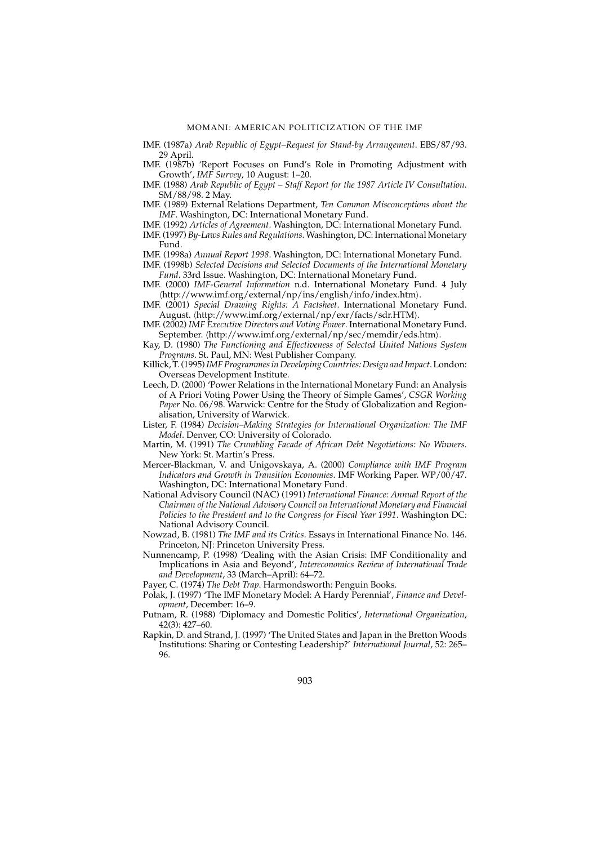- IMF. (1987a) *Arab Republic of Egypt–Request for Stand-by Arrangement*. EBS/87/93. 29 April.
- IMF. (1987b) 'Report Focuses on Fund's Role in Promoting Adjustment with Growth', *IMF Survey*, 10 August: 1–20.
- IMF. (1988) *Arab Republic of Egypt Staff Report for the 1987 Article IV Consultation*. SM/88/98. 2 May.
- IMF. (1989) External Relations Department, *Ten Common Misconceptions about the IMF*. Washington, DC: International Monetary Fund.
- IMF. (1992) *Articles of Agreement*. Washington, DC: International Monetary Fund.
- IMF. (1997) *By-Laws Rules and Regulations*. Washington, DC: International Monetary Fund.

IMF. (1998a) *Annual Report 1998*. Washington, DC: International Monetary Fund.

- IMF. (1998b) *Selected Decisions and Selected Documents of the International Monetary Fund*. 33rd Issue. Washington, DC: International Monetary Fund.
- IMF. (2000) *IMF-General Information* n.d. International Monetary Fund. 4 July -http://www.imf.org/external/np/ins/english/info/index.htm.
- IMF. (2001) *Special Drawing Rights: A Factsheet*. International Monetary Fund. August. (http://www.imf.org/external/np/exr/facts/sdr.HTM).
- IMF. (2002) *IMF Executive Directors and Voting Power*. International Monetary Fund. September. (http://www.imf.org/external/np/sec/memdir/eds.htm).
- Kay, D. (1980) *The Functioning and Effectiveness of Selected United Nations System Programs*. St. Paul, MN: West Publisher Company.
- Killick, T. (1995)*IMF Programmes in Developing Countries: Design and Impact*.London: Overseas Development Institute.
- Leech, D. (2000) 'Power Relations in the International Monetary Fund: an Analysis of A Priori Voting Power Using the Theory of Simple Games', *CSGR Working Paper* No. 06/98. Warwick: Centre for the Study of Globalization and Regionalisation, University of Warwick.
- Lister, F. (1984) *Decision–Making Strategies for International Organization: The IMF Model*. Denver, CO: University of Colorado.
- Martin, M. (1991) *The Crumbling Facade of African Debt Negotiations: No Winners*. New York: St. Martin's Press.
- Mercer-Blackman, V. and Unigovskaya, A. (2000) *Compliance with IMF Program Indicators and Growth in Transition Economies*. IMF Working Paper. WP/00/47. Washington, DC: International Monetary Fund.
- National Advisory Council (NAC) (1991) *International Finance: Annual Report of the Chairman of the National Advisory Council on International Monetary and Financial Policies to the President and to the Congress for Fiscal Year 1991*. Washington DC: National Advisory Council.
- Nowzad, B. (1981) *The IMF and its Critics*. Essays in International Finance No. 146. Princeton, NJ: Princeton University Press.
- Nunnencamp, P. (1998) 'Dealing with the Asian Crisis: IMF Conditionality and Implications in Asia and Beyond', *Intereconomics Review of International Trade and Development*, 33 (March–April): 64–72.
- Payer, C. (1974) *The Debt Trap*. Harmondsworth: Penguin Books.
- Polak, J. (1997) 'The IMF Monetary Model: A Hardy Perennial', *Finance and Development*, December: 16–9.
- Putnam, R. (1988) 'Diplomacy and Domestic Politics', *International Organization*, 42(3): 427–60.
- Rapkin, D. and Strand, J. (1997) 'The United States and Japan in the Bretton Woods Institutions: Sharing or Contesting Leadership?' *International Journal*, 52: 265– 96.